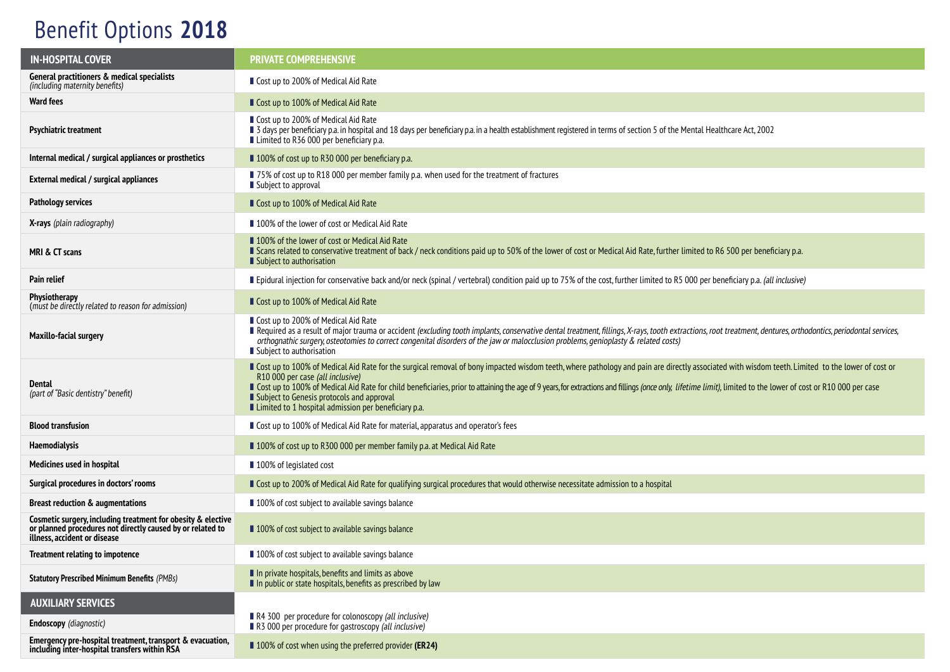## Benefit Options **2018**

| <b>IN-HOSPITAL COVER</b>                                                                                                                                   | <b>PRIVATE COMPREHENSIVE</b>                                                                                                                                                                                                                                                                                                                                                                                                                                                                                                                                   |  |
|------------------------------------------------------------------------------------------------------------------------------------------------------------|----------------------------------------------------------------------------------------------------------------------------------------------------------------------------------------------------------------------------------------------------------------------------------------------------------------------------------------------------------------------------------------------------------------------------------------------------------------------------------------------------------------------------------------------------------------|--|
| General practitioners & medical specialists<br>(including maternity benefits)                                                                              | ■ Cost up to 200% of Medical Aid Rate                                                                                                                                                                                                                                                                                                                                                                                                                                                                                                                          |  |
| <b>Ward fees</b>                                                                                                                                           | ■ Cost up to 100% of Medical Aid Rate                                                                                                                                                                                                                                                                                                                                                                                                                                                                                                                          |  |
| Psychiatric treatment                                                                                                                                      | ■ Cost up to 200% of Medical Aid Rate<br>■ 3 days per beneficiary p.a. in hospital and 18 days per beneficiary p.a. in a health establishment registered in terms of section 5 of the Mental Healthcare Act, 2002<br>■ Limited to R36 000 per beneficiary p.a.                                                                                                                                                                                                                                                                                                 |  |
| Internal medical / surgical appliances or prosthetics                                                                                                      | ■ 100% of cost up to R30 000 per beneficiary p.a.                                                                                                                                                                                                                                                                                                                                                                                                                                                                                                              |  |
| External medical / surgical appliances                                                                                                                     | ■ 75% of cost up to R18 000 per member family p.a. when used for the treatment of fractures<br>■ Subject to approval                                                                                                                                                                                                                                                                                                                                                                                                                                           |  |
| <b>Pathology services</b>                                                                                                                                  | ■ Cost up to 100% of Medical Aid Rate                                                                                                                                                                                                                                                                                                                                                                                                                                                                                                                          |  |
| <b>X-rays</b> (plain radiography)                                                                                                                          | ■ 100% of the lower of cost or Medical Aid Rate                                                                                                                                                                                                                                                                                                                                                                                                                                                                                                                |  |
| MRI & CT scans                                                                                                                                             | ■ 100% of the lower of cost or Medical Aid Rate<br><b>SCALL SCALL SCALL SCALL SCALL SCALL</b> Scalled that Scalled to Called to Songet the Song of cost or Medical Aid Rate, further limited to R6 500 per beneficiary p.a.<br>■ Subject to authorisation                                                                                                                                                                                                                                                                                                      |  |
| Pain relief                                                                                                                                                | Epidural injection for conservative back and/or neck (spinal / vertebral) condition paid up to 75% of the cost, further limited to R5 000 per beneficiary p.a. (all inclusive)                                                                                                                                                                                                                                                                                                                                                                                 |  |
| <b>Physiotherapy</b><br>(must be directly related to reason for admission)                                                                                 | ■ Cost up to 100% of Medical Aid Rate                                                                                                                                                                                                                                                                                                                                                                                                                                                                                                                          |  |
| <b>Maxillo-facial surgery</b>                                                                                                                              | ■ Cost up to 200% of Medical Aid Rate<br>Required as a result of major trauma or accident (excluding tooth implants, conservative dental treatment, fillings, X-rays, tooth extractions, root treatment, dentures, orthodontics, periodontal services,<br>orthognathic surgery, osteotomies to correct congenital disorders of the jaw or malocclusion problems, genioplasty & related costs)<br>■ Subject to authorisation                                                                                                                                    |  |
| Dental<br>(part of "Basic dentistry" benefit)                                                                                                              | ■ Cost up to 100% of Medical Aid Rate for the surgical removal of bony impacted wisdom teeth, where pathology and pain are directly associated with wisdom teeth. Limited to the lower of cost or<br>R10 000 per case (all inclusive)<br>Cost up to 100% of Medical Aid Rate for child beneficiaries, prior to attaining the age of 9 years, for extractions and fillings (once only, lifetime limit), limited to the lower of cost or R10 000 per case<br>Subject to Genesis protocols and approval<br>■ Limited to 1 hospital admission per beneficiary p.a. |  |
| <b>Blood transfusion</b>                                                                                                                                   | ■ Cost up to 100% of Medical Aid Rate for material, apparatus and operator's fees                                                                                                                                                                                                                                                                                                                                                                                                                                                                              |  |
| Haemodialysis                                                                                                                                              | ■ 100% of cost up to R300 000 per member family p.a. at Medical Aid Rate                                                                                                                                                                                                                                                                                                                                                                                                                                                                                       |  |
| Medicines used in hospital                                                                                                                                 | ■ 100% of legislated cost                                                                                                                                                                                                                                                                                                                                                                                                                                                                                                                                      |  |
| Surgical procedures in doctors' rooms                                                                                                                      | Gost up to 200% of Medical Aid Rate for qualifying surgical procedures that would otherwise necessitate admission to a hospital                                                                                                                                                                                                                                                                                                                                                                                                                                |  |
| <b>Breast reduction &amp; augmentations</b>                                                                                                                | ■ 100% of cost subject to available savings balance                                                                                                                                                                                                                                                                                                                                                                                                                                                                                                            |  |
| Cosmetic surgery, including treatment for obesity & elective<br>or planned procedures not directly caused by or related to<br>illness, accident or disease | ■ 100% of cost subject to available savings balance                                                                                                                                                                                                                                                                                                                                                                                                                                                                                                            |  |
| Treatment relating to impotence                                                                                                                            | ■ 100% of cost subject to available savings balance                                                                                                                                                                                                                                                                                                                                                                                                                                                                                                            |  |
| <b>Statutory Prescribed Minimum Benefits (PMBs)</b>                                                                                                        | In private hospitals, benefits and limits as above<br>In public or state hospitals, benefits as prescribed by law                                                                                                                                                                                                                                                                                                                                                                                                                                              |  |
| <b>AUXILIARY SERVICES</b>                                                                                                                                  |                                                                                                                                                                                                                                                                                                                                                                                                                                                                                                                                                                |  |
| <b>Endoscopy</b> (diagnostic)                                                                                                                              | R4 300 per procedure for colonoscopy (all inclusive)<br>R3 000 per procedure for gastroscopy (all inclusive)                                                                                                                                                                                                                                                                                                                                                                                                                                                   |  |
| Emergency pre-hospital treatment, transport & evacuation,<br>including inter-hospital transfers within RSA                                                 | ■ 100% of cost when using the preferred provider (ER24)                                                                                                                                                                                                                                                                                                                                                                                                                                                                                                        |  |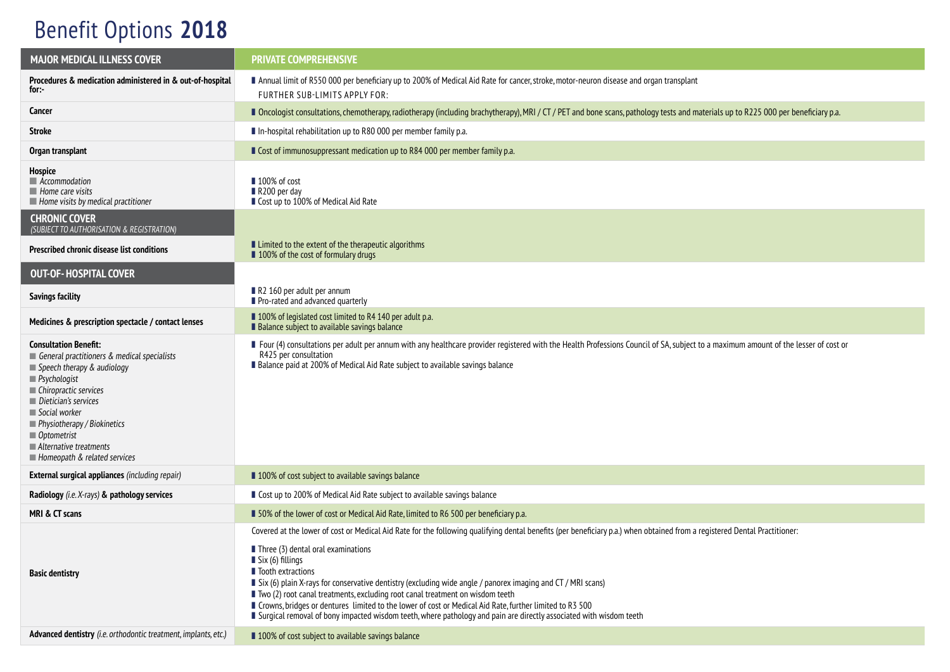## Benefit Options **2018**

| <b>MAJOR MEDICAL ILLNESS COVER</b>                                                                                                                                                                                                                                                                                                                 | <b>PRIVATE COMPREHENSIVE</b>                                                                                                                                                                                                                                                                                                                                                                                                                                                                                                                                                                                                                                                                                                    |  |
|----------------------------------------------------------------------------------------------------------------------------------------------------------------------------------------------------------------------------------------------------------------------------------------------------------------------------------------------------|---------------------------------------------------------------------------------------------------------------------------------------------------------------------------------------------------------------------------------------------------------------------------------------------------------------------------------------------------------------------------------------------------------------------------------------------------------------------------------------------------------------------------------------------------------------------------------------------------------------------------------------------------------------------------------------------------------------------------------|--|
| Procedures & medication administered in & out-of-hospital<br>for:-                                                                                                                                                                                                                                                                                 | Annual limit of R550 000 per beneficiary up to 200% of Medical Aid Rate for cancer, stroke, motor-neuron disease and organ transplant<br>FURTHER SUB-LIMITS APPLY FOR:                                                                                                                                                                                                                                                                                                                                                                                                                                                                                                                                                          |  |
| Cancer                                                                                                                                                                                                                                                                                                                                             | Docologist consultations, chemotherapy, radiotherapy (including brachytherapy), MRI / CT / PET and bone scans, pathology tests and materials up to R225 000 per beneficiary p.a.                                                                                                                                                                                                                                                                                                                                                                                                                                                                                                                                                |  |
| Stroke                                                                                                                                                                                                                                                                                                                                             | In-hospital rehabilitation up to R80 000 per member family p.a.                                                                                                                                                                                                                                                                                                                                                                                                                                                                                                                                                                                                                                                                 |  |
| Organ transplant                                                                                                                                                                                                                                                                                                                                   | Cost of immunosuppressant medication up to R84 000 per member family p.a.                                                                                                                                                                                                                                                                                                                                                                                                                                                                                                                                                                                                                                                       |  |
| Hospice<br>Accommodation<br>$\blacksquare$ Home care visits<br>$\blacksquare$ Home visits by medical practitioner                                                                                                                                                                                                                                  | ■ 100% of cost<br>$\blacksquare$ R200 per day<br>■ Cost up to 100% of Medical Aid Rate                                                                                                                                                                                                                                                                                                                                                                                                                                                                                                                                                                                                                                          |  |
| <b>CHRONIC COVER</b><br>(SUBJECT TO AUTHORISATION & REGISTRATION)                                                                                                                                                                                                                                                                                  |                                                                                                                                                                                                                                                                                                                                                                                                                                                                                                                                                                                                                                                                                                                                 |  |
| Prescribed chronic disease list conditions                                                                                                                                                                                                                                                                                                         | ■ Limited to the extent of the therapeutic algorithms<br>100% of the cost of formulary drugs                                                                                                                                                                                                                                                                                                                                                                                                                                                                                                                                                                                                                                    |  |
| <b>OUT-OF-HOSPITAL COVER</b>                                                                                                                                                                                                                                                                                                                       |                                                                                                                                                                                                                                                                                                                                                                                                                                                                                                                                                                                                                                                                                                                                 |  |
| <b>Savings facility</b>                                                                                                                                                                                                                                                                                                                            | R2 160 per adult per annum<br>Pro-rated and advanced quarterly                                                                                                                                                                                                                                                                                                                                                                                                                                                                                                                                                                                                                                                                  |  |
| Medicines & prescription spectacle / contact lenses                                                                                                                                                                                                                                                                                                | ■ 100% of legislated cost limited to R4 140 per adult p.a.<br>Balance subject to available savings balance                                                                                                                                                                                                                                                                                                                                                                                                                                                                                                                                                                                                                      |  |
| <b>Consultation Benefit:</b><br>General practitioners & medical specialists<br>$\blacksquare$ Speech therapy & audiology<br>$\blacksquare$ Psychologist<br>Chiropractic services<br>Dietician's services<br>Social worker<br>Physiotherapy / Biokinetics<br>■ Optometrist<br>$\blacksquare$ Alternative treatments<br>Homeopath & related services | ■ Four (4) consultations per adult per annum with any healthcare provider registered with the Health Professions Council of SA, subject to a maximum amount of the lesser of cost or<br>R425 per consultation<br>Balance paid at 200% of Medical Aid Rate subject to available savings balance                                                                                                                                                                                                                                                                                                                                                                                                                                  |  |
| <b>External surgical appliances</b> (including repair)                                                                                                                                                                                                                                                                                             | ■ 100% of cost subject to available savings balance                                                                                                                                                                                                                                                                                                                                                                                                                                                                                                                                                                                                                                                                             |  |
| Radiology (i.e. X-rays) & pathology services                                                                                                                                                                                                                                                                                                       | ■ Cost up to 200% of Medical Aid Rate subject to available savings balance                                                                                                                                                                                                                                                                                                                                                                                                                                                                                                                                                                                                                                                      |  |
| MRI & CT scans                                                                                                                                                                                                                                                                                                                                     | ■ 50% of the lower of cost or Medical Aid Rate, limited to R6 500 per beneficiary p.a.                                                                                                                                                                                                                                                                                                                                                                                                                                                                                                                                                                                                                                          |  |
| <b>Basic dentistry</b>                                                                                                                                                                                                                                                                                                                             | Covered at the lower of cost or Medical Aid Rate for the following qualifying dental benefits (per beneficiary p.a.) when obtained from a registered Dental Practitioner:<br>$\blacksquare$ Three (3) dental oral examinations<br>$\blacksquare$ Six (6) fillings<br>■ Tooth extractions<br>Six (6) plain X-rays for conservative dentistry (excluding wide angle / panorex imaging and CT / MRI scans)<br>■ Two (2) root canal treatments, excluding root canal treatment on wisdom teeth<br>■ Crowns, bridges or dentures limited to the lower of cost or Medical Aid Rate, further limited to R3 500<br>I Surgical removal of bony impacted wisdom teeth, where pathology and pain are directly associated with wisdom teeth |  |
| Advanced dentistry (i.e. orthodontic treatment, implants, etc.)                                                                                                                                                                                                                                                                                    | 100% of cost subject to available savings balance                                                                                                                                                                                                                                                                                                                                                                                                                                                                                                                                                                                                                                                                               |  |